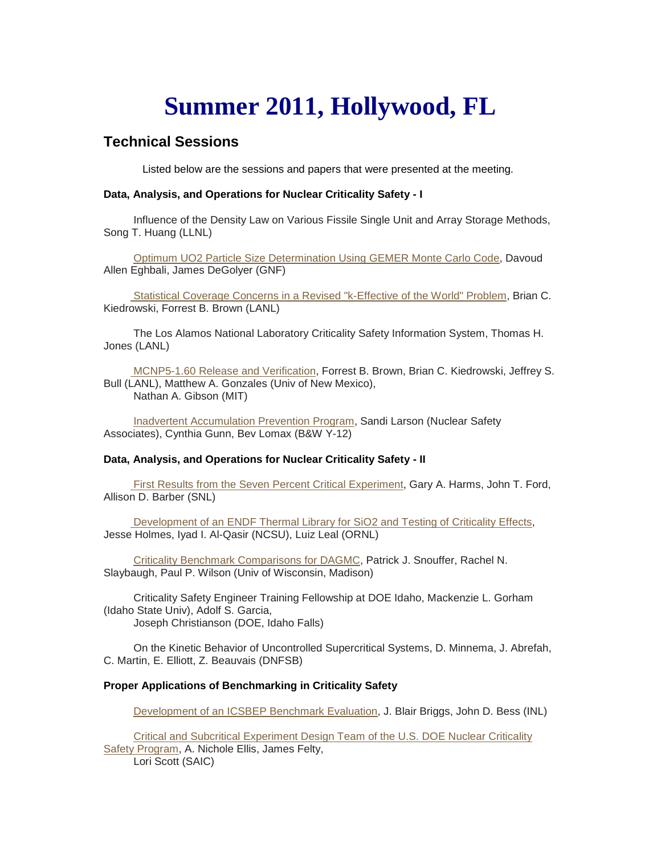# **Summer 2011, Hollywood, FL**

# **Technical Sessions**

Listed below are the sessions and papers that were presented at the meeting.

## **Data, Analysis, and Operations for Nuclear Criticality Safety - I**

 Influence of the Density Law on Various Fissile Single Unit and Array Storage Methods, Song T. Huang (LLNL)

 [Optimum UO2 Particle Size Determination Using GEMER Monte Carlo Code,](http://ncsd.ans.org/site/hollywood_2011/D%20Eghbali.pdf) Davoud Allen Eghbali, James DeGolyer (GNF)

 [Statistical Coverage Concerns in a Revised "k-Effective of the World" Problem,](http://ncsd.ans.org/site/hollywood_2011/Brian%20Kiedrowski.pdf) Brian C. Kiedrowski, Forrest B. Brown (LANL)

 The Los Alamos National Laboratory Criticality Safety Information System, Thomas H. Jones (LANL)

 [MCNP5-1.60 Release and Verification,](http://ncsd.ans.org/site/hollywood_2011/Forrest%20Brown%20Tu%20AM.pdf) Forrest B. Brown, Brian C. Kiedrowski, Jeffrey S. Bull (LANL), Matthew A. Gonzales (Univ of New Mexico), Nathan A. Gibson (MIT)

 [Inadvertent Accumulation Prevention Program,](http://ncsd.ans.org/site/hollywood_2011/Sandi%20Larson.pdf) Sandi Larson (Nuclear Safety Associates), Cynthia Gunn, Bev Lomax (B&W Y-12)

### **Data, Analysis, and Operations for Nuclear Criticality Safety - II**

 [First Results from the Seven Percent Critical Experiment,](http://ncsd.ans.org/site/hollywood_2011/Gary%20Harms.pdf) Gary A. Harms, John T. Ford, Allison D. Barber (SNL)

 [Development of an ENDF Thermal Library for SiO2 and Testing of Criticality Effects,](http://ncsd.ans.org/site/hollywood_2011/Jesse%20Holmes.pdf) Jesse Holmes, Iyad I. Al-Qasir (NCSU), Luiz Leal (ORNL)

 [Criticality Benchmark Comparisons for DAGMC,](http://ncsd.ans.org/site/hollywood_2011/P%20Snouffer.pdf) Patrick J. Snouffer, Rachel N. Slaybaugh, Paul P. Wilson (Univ of Wisconsin, Madison)

 Criticality Safety Engineer Training Fellowship at DOE Idaho, Mackenzie L. Gorham (Idaho State Univ), Adolf S. Garcia, Joseph Christianson (DOE, Idaho Falls)

 On the Kinetic Behavior of Uncontrolled Supercritical Systems, D. Minnema, J. Abrefah, C. Martin, E. Elliott, Z. Beauvais (DNFSB)

### **Proper Applications of Benchmarking in Criticality Safety**

[Development of an ICSBEP Benchmark Evaluation,](http://ncsd.ans.org/site/hollywood_2011/John%20Bess.pdf) J. Blair Briggs, John D. Bess (INL)

 [Critical and Subcritical Experiment Design Team of the U.S. DOE Nuclear Criticality](http://ncsd.ans.org/site/hollywood_2011/Nichole%20Ellis.pdf)  [Safety Program,](http://ncsd.ans.org/site/hollywood_2011/Nichole%20Ellis.pdf) A. Nichole Ellis, James Felty, Lori Scott (SAIC)